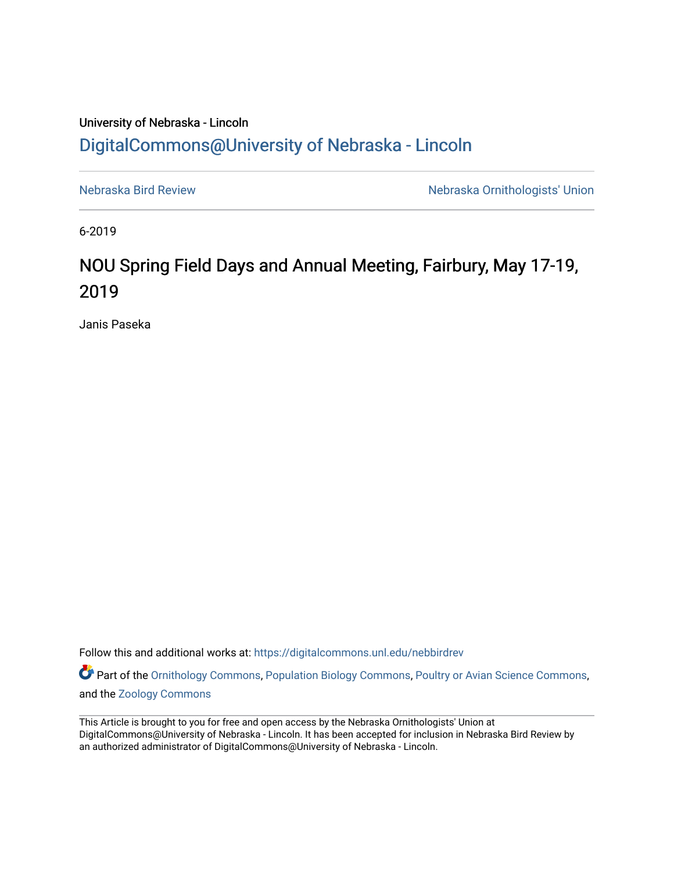## University of Nebraska - Lincoln [DigitalCommons@University of Nebraska - Lincoln](https://digitalcommons.unl.edu/)

[Nebraska Bird Review](https://digitalcommons.unl.edu/nebbirdrev) [Nebraska Ornithologists' Union](https://digitalcommons.unl.edu/nebornithologists) 

6-2019

# NOU Spring Field Days and Annual Meeting, Fairbury, May 17-19, 2019

Janis Paseka

Follow this and additional works at: [https://digitalcommons.unl.edu/nebbirdrev](https://digitalcommons.unl.edu/nebbirdrev?utm_source=digitalcommons.unl.edu%2Fnebbirdrev%2F1461&utm_medium=PDF&utm_campaign=PDFCoverPages)

Part of the [Ornithology Commons,](http://network.bepress.com/hgg/discipline/1190?utm_source=digitalcommons.unl.edu%2Fnebbirdrev%2F1461&utm_medium=PDF&utm_campaign=PDFCoverPages) [Population Biology Commons](http://network.bepress.com/hgg/discipline/19?utm_source=digitalcommons.unl.edu%2Fnebbirdrev%2F1461&utm_medium=PDF&utm_campaign=PDFCoverPages), [Poultry or Avian Science Commons,](http://network.bepress.com/hgg/discipline/80?utm_source=digitalcommons.unl.edu%2Fnebbirdrev%2F1461&utm_medium=PDF&utm_campaign=PDFCoverPages) and the [Zoology Commons](http://network.bepress.com/hgg/discipline/81?utm_source=digitalcommons.unl.edu%2Fnebbirdrev%2F1461&utm_medium=PDF&utm_campaign=PDFCoverPages) 

This Article is brought to you for free and open access by the Nebraska Ornithologists' Union at DigitalCommons@University of Nebraska - Lincoln. It has been accepted for inclusion in Nebraska Bird Review by an authorized administrator of DigitalCommons@University of Nebraska - Lincoln.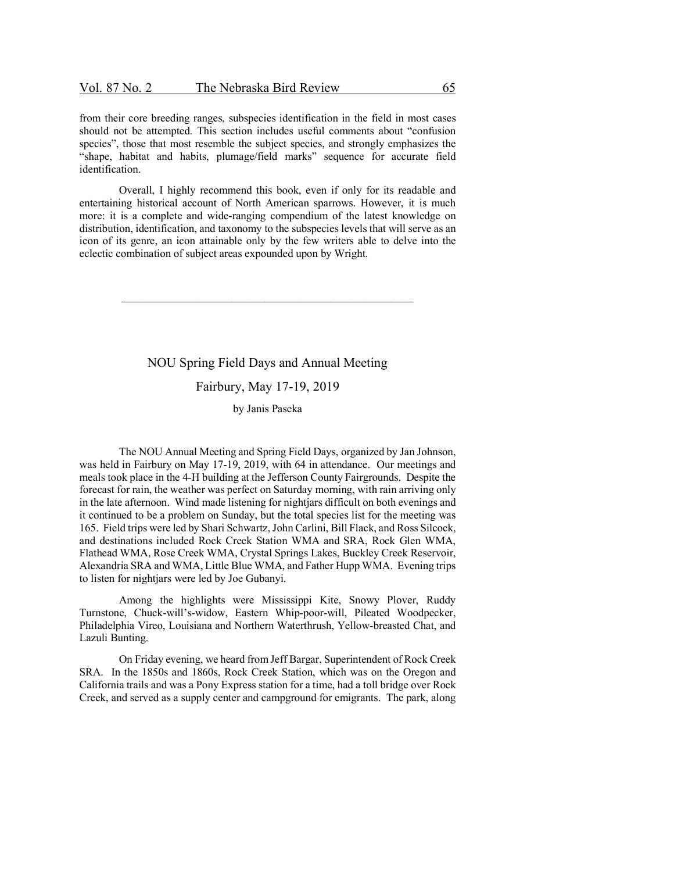from their core breeding ranges, subspecies identification in the field in most cases should not be attempted. This section includes useful comments about "confusion species", those that most resemble the subject species, and strongly emphasizes the "shape, habitat and habits, plumage/field marks" sequence for accurate field identification.

Overall, I highly recommend this book, even if only for its readable and entertaining historical account of North American sparrows. However, it is much more: it is a complete and wide-ranging compendium of the latest knowledge on distribution, identification, and taxonomy to the subspecies levels that will serve as an icon of its genre, an icon attainable only by the few writers able to delve into the eclectic combination of subject areas expounded upon by Wright.

#### NOU Spring Field Days and Annual Meeting

### Fairbury, May 17-19, 2019

#### by Janis Paseka

The NOU Annual Meeting and Spring Field Days, organized by Jan Johnson, was held in Fairbury on May 17-19, 2019, with 64 in attendance. Our meetings and meals took place in the 4-H building at the Jefferson County Fairgrounds. Despite the forecast for rain, the weather was perfect on Saturday morning, with rain arriving only in the late afternoon. Wind made listening for nightjars difficult on both evenings and it continued to be a problem on Sunday, but the total species list for the meeting was 165. Field trips were led by Shari Schwartz, John Carlini, Bill Flack, and Ross Silcock, and destinations included Rock Creek Station WMA and SRA, Rock Glen WMA, Flathead WMA, Rose Creek WMA, Crystal Springs Lakes, Buckley Creek Reservoir, Alexandria SRA and WMA, Little Blue WMA, and Father Hupp WMA. Evening trips to listen for nightjars were led by Joe Gubanyi.

Among the highlights were Mississippi Kite, Snowy Plover, Ruddy Turnstone, Chuck-will's-widow, Eastern Whip-poor-will, Pileated Woodpecker, Philadelphia Vireo, Louisiana and Northern Waterthrush, Yellow-breasted Chat, and Lazuli Bunting.

On Friday evening, we heard from Jeff Bargar, Superintendent of Rock Creek SRA. In the 1850s and 1860s, Rock Creek Station, which was on the Oregon and California trails and was a Pony Express station for a time, had a toll bridge over Rock Creek, and served as a supply center and campground for emigrants. The park, along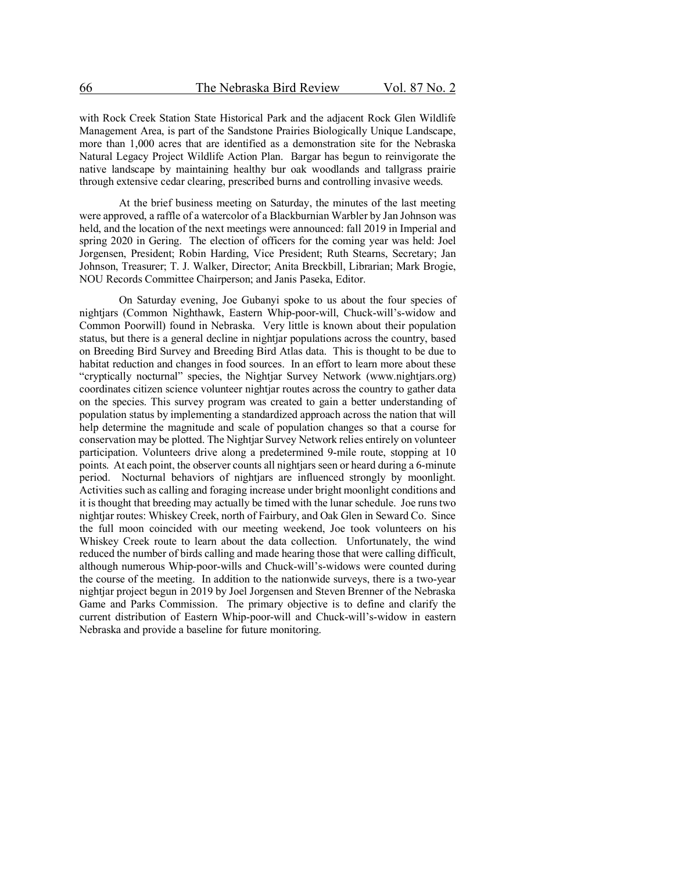with Rock Creek Station State Historical Park and the adjacent Rock Glen Wildlife Management Area, is part of the Sandstone Prairies Biologically Unique Landscape, more than 1,000 acres that are identified as a demonstration site for the Nebraska Natural Legacy Project Wildlife Action Plan. Bargar has begun to reinvigorate the native landscape by maintaining healthy bur oak woodlands and tallgrass prairie through extensive cedar clearing, prescribed burns and controlling invasive weeds.

At the brief business meeting on Saturday, the minutes of the last meeting were approved, a raffle of a watercolor of a Blackburnian Warbler by Jan Johnson was held, and the location of the next meetings were announced: fall 2019 in Imperial and spring 2020 in Gering. The election of officers for the coming year was held: Joel Jorgensen, President; Robin Harding, Vice President; Ruth Stearns, Secretary; Jan Johnson, Treasurer; T. J. Walker, Director; Anita Breckbill, Librarian; Mark Brogie, NOU Records Committee Chairperson; and Janis Paseka, Editor.

On Saturday evening, Joe Gubanyi spoke to us about the four species of nightjars (Common Nighthawk, Eastern Whip-poor-will, Chuck-will's-widow and Common Poorwill) found in Nebraska. Very little is known about their population status, but there is a general decline in nightjar populations across the country, based on Breeding Bird Survey and Breeding Bird Atlas data. This is thought to be due to habitat reduction and changes in food sources. In an effort to learn more about these "cryptically nocturnal" species, the Nightjar Survey Network (www.nightjars.org) coordinates citizen science volunteer nightjar routes across the country to gather data on the species. This survey program was created to gain a better understanding of population status by implementing a standardized approach across the nation that will help determine the magnitude and scale of population changes so that a course for conservation may be plotted. The Nightjar Survey Network relies entirely on volunteer participation. Volunteers drive along a predetermined 9-mile route, stopping at 10 points. At each point, the observer counts all nightjars seen or heard during a 6-minute period. Nocturnal behaviors of nightjars are influenced strongly by moonlight. Activities such as calling and foraging increase under bright moonlight conditions and it is thought that breeding may actually be timed with the lunar schedule. Joe runs two nightjar routes: Whiskey Creek, north of Fairbury, and Oak Glen in Seward Co. Since the full moon coincided with our meeting weekend, Joe took volunteers on his Whiskey Creek route to learn about the data collection. Unfortunately, the wind reduced the number of birds calling and made hearing those that were calling difficult, although numerous Whip-poor-wills and Chuck-will's-widows were counted during the course of the meeting. In addition to the nationwide surveys, there is a two-year nightjar project begun in 2019 by Joel Jorgensen and Steven Brenner of the Nebraska Game and Parks Commission. The primary objective is to define and clarify the current distribution of Eastern Whip-poor-will and Chuck-will's-widow in eastern Nebraska and provide a baseline for future monitoring.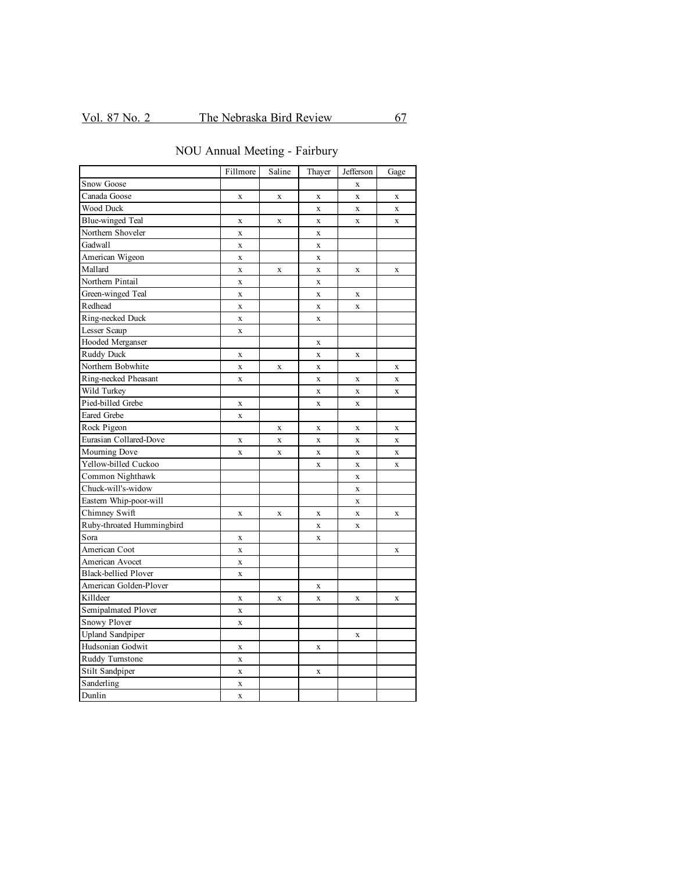| NOU Annual Meeting - Fairbury |  |
|-------------------------------|--|
|-------------------------------|--|

|                             | Fillmore           | Saline      | Thayer             | Jefferson    | Gage         |
|-----------------------------|--------------------|-------------|--------------------|--------------|--------------|
| Snow Goose                  |                    |             |                    | $\mathbf X$  |              |
| Canada Goose                | $\mathbf X$        | $\mathbf X$ | X                  | $\mathbf x$  | $\mathbf X$  |
| Wood Duck                   |                    |             | $\bar{X}$          | $\mathbf{x}$ | $\mathbf x$  |
| <b>Blue-winged Teal</b>     | $\bf{X}$           | $\mathbf x$ | $\bar{X}$          | $\mathbf{x}$ | $\mathbf{x}$ |
| Northern Shoveler           | $\mathbf X$        |             | $\mathbf x$        |              |              |
| Gadwall                     | $\mathbf x$        |             | $\mathbf X$        |              |              |
| American Wigeon             | $\mathbf{x}$       |             | $\bar{\mathbf{X}}$ |              |              |
| Mallard                     | $\mathbf X$        | $\mathbf x$ | $\bar{\mathbf{X}}$ | $\mathbf X$  | $\mathbf X$  |
| Northern Pintail            | $\mathbf x$        |             | $\bar{\mathbf{X}}$ |              |              |
| Green-winged Teal           | $\mathbf{x}$       |             | $\bar{X}$          | X            |              |
| Redhead                     | $\mathbf x$        |             | $\mathbf x$        | $\mathbf x$  |              |
| Ring-necked Duck            | $\mathbf x$        |             | $\bar{\mathbf{X}}$ |              |              |
| Lesser Scaup                | $\mathbf x$        |             |                    |              |              |
| Hooded Merganser            |                    |             | $\mathbf x$        |              |              |
| Ruddy Duck                  | $\mathbf X$        |             | $\bar{X}$          | $\mathbf x$  |              |
| Northern Bobwhite           | $\bf{X}$           | X           | $\bar{X}$          |              | $\mathbf x$  |
| Ring-necked Pheasant        | X                  |             | X                  | $\mathbf x$  | $\mathbf X$  |
| Wild Turkey                 |                    |             | X                  | $\mathbf X$  | $\mathbf X$  |
| Pied-billed Grebe           | $\mathbf X$        |             | $\bar{\mathbf{X}}$ | $\mathbf x$  |              |
| <b>Eared Grebe</b>          | $\bar{\mathbf{X}}$ |             |                    |              |              |
| Rock Pigeon                 |                    | $\mathbf X$ | X                  | $\bf{X}$     | $\mathbf x$  |
| Eurasian Collared-Dove      | $\mathbf x$        | $\mathbf x$ | $\bar{X}$          | $\mathbf{x}$ | $\mathbf x$  |
| Mourning Dove               | $\mathbf x$        | $\mathbf x$ | $\mathbf x$        | $\mathbf x$  | $\mathbf x$  |
| Yellow-billed Cuckoo        |                    |             | $\mathbf x$        | $\mathbf X$  | $\mathbf x$  |
| Common Nighthawk            |                    |             |                    | $\mathbf X$  |              |
| Chuck-will's-widow          |                    |             |                    | $\mathbf{x}$ |              |
| Eastern Whip-poor-will      |                    |             |                    | $\mathbf{x}$ |              |
| Chimney Swift               | $\mathbf x$        | $\mathbf X$ | X                  | $\mathbf{x}$ | $\mathbf X$  |
| Ruby-throated Hummingbird   |                    |             | $\mathbf x$        | $\mathbf x$  |              |
| Sora                        | $\mathbf X$        |             | X                  |              |              |
| American Coot               | $\mathbf x$        |             |                    |              | $\mathbf x$  |
| American Avocet             | $\mathbf x$        |             |                    |              |              |
| <b>Black-bellied Plover</b> | $\bar{X}$          |             |                    |              |              |
| American Golden-Plover      |                    |             | $\mathbf x$        |              |              |
| Killdeer                    | $\mathbf X$        | $\mathbf X$ | $\mathbf x$        | X            | $\mathbf X$  |
| Semipalmated Plover         | $\mathbf X$        |             |                    |              |              |
| Snowy Plover                | $\mathbf x$        |             |                    |              |              |
| <b>Upland Sandpiper</b>     |                    |             |                    | $\mathbf x$  |              |
| Hudsonian Godwit            | $\mathbf X$        |             | $\mathbf x$        |              |              |
| Ruddy Turnstone             | $\bar{X}$          |             |                    |              |              |
| Stilt Sandpiper             | $\mathbf x$        |             | X                  |              |              |
| Sanderling                  | X                  |             |                    |              |              |
| Dunlin                      | $\mathbf x$        |             |                    |              |              |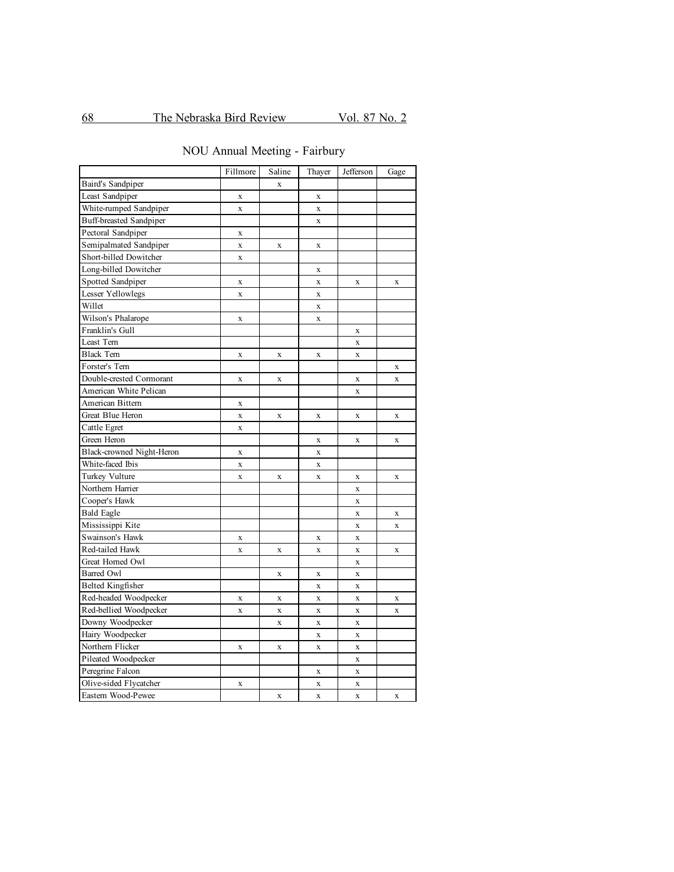NOU Annual Meeting - Fairbury

|                                | Fillmore     | Saline      | Thayer             | Jefferson   | Gage        |
|--------------------------------|--------------|-------------|--------------------|-------------|-------------|
| Baird's Sandpiper              |              | X           |                    |             |             |
| Least Sandpiper                | $\mathbf X$  |             | $\mathbf X$        |             |             |
| White-rumped Sandpiper         | $\mathbf{x}$ |             | $\mathbf X$        |             |             |
| <b>Buff-breasted Sandpiper</b> |              |             | $\mathbf X$        |             |             |
| Pectoral Sandpiper             | $\mathbf X$  |             |                    |             |             |
| Semipalmated Sandpiper         | $\mathbf x$  | X           | X                  |             |             |
| Short-billed Dowitcher         | $\mathbf X$  |             |                    |             |             |
| Long-billed Dowitcher          |              |             | $\mathbf X$        |             |             |
| Spotted Sandpiper              | $\mathbf X$  |             | $\mathbf X$        | X           | X           |
| <b>Lesser Yellowlegs</b>       | $\mathbf X$  |             | $\mathbf x$        |             |             |
| Willet                         |              |             | $\mathbf X$        |             |             |
| Wilson's Phalarope             | $\mathbf X$  |             | $\mathbf x$        |             |             |
| Franklin's Gull                |              |             |                    | X           |             |
| Least Tern                     |              |             |                    | $\mathbf X$ |             |
| <b>Black Tern</b>              | $\mathbf x$  | $\mathbf X$ | $\mathbf X$        | $\mathbf X$ |             |
| Forster's Tern                 |              |             |                    |             | X           |
| Double-crested Cormorant       | $\mathbf X$  | $\mathbf X$ |                    | X           | $\mathbf X$ |
| American White Pelican         |              |             |                    | $\mathbf X$ |             |
| American Bittern               | $\mathbf X$  |             |                    |             |             |
| Great Blue Heron               | $\mathbf X$  | X           | $\mathbf X$        | $\mathbf x$ | $\mathbf X$ |
| Cattle Egret                   | $\mathbf x$  |             |                    |             |             |
| Green Heron                    |              |             | $\mathbf X$        | $\mathbf x$ | $\mathbf X$ |
| Black-crowned Night-Heron      | $\mathbf x$  |             | $\mathbf x$        |             |             |
| White-faced Ibis               | $\mathbf X$  |             | $\mathbf X$        |             |             |
| Turkey Vulture                 | $\mathbf X$  | X           | $\mathbf X$        | X           | $\mathbf X$ |
| Northern Harrier               |              |             |                    | $\mathbf X$ |             |
| Cooper's Hawk                  |              |             |                    | $\mathbf X$ |             |
| <b>Bald Eagle</b>              |              |             |                    | X           | $\mathbf X$ |
| Mississippi Kite               |              |             |                    | X           | $\mathbf X$ |
| Swainson's Hawk                | X            |             | X                  | $\mathbf X$ |             |
| Red-tailed Hawk                | $\mathbf X$  | X           | $\mathbf X$        | $\mathbf X$ | X           |
| Great Horned Owl               |              |             |                    | $\mathbf x$ |             |
| <b>Barred Owl</b>              |              | X           | $\mathbf X$        | $\mathbf x$ |             |
| <b>Belted Kingfisher</b>       |              |             | $\mathbf x$        | $\mathbf X$ |             |
| Red-headed Woodpecker          | $\mathbf X$  | $\mathbf x$ | $\bar{\mathbf{X}}$ | $\bar{X}$   | $\mathbf X$ |
| Red-bellied Woodpecker         | $\mathbf X$  | X           | $\mathbf X$        | X           | X           |
| Downy Woodpecker               |              | X           | $\mathbf X$        | $\mathbf x$ |             |
| Hairy Woodpecker               |              |             | $\mathbf X$        | $\mathbf X$ |             |
| Northern Flicker               | $\mathbf X$  | $\mathbf X$ | $\mathbf x$        | X           |             |
| Pileated Woodpecker            |              |             |                    | X           |             |
| Peregrine Falcon               |              |             | X                  | $\mathbf x$ |             |
| Olive-sided Flycatcher         | $\mathbf X$  |             | $\mathbf X$        | X           |             |
| Eastern Wood-Pewee             |              | X           | $\mathbf X$        | $\mathbf X$ | $\mathbf X$ |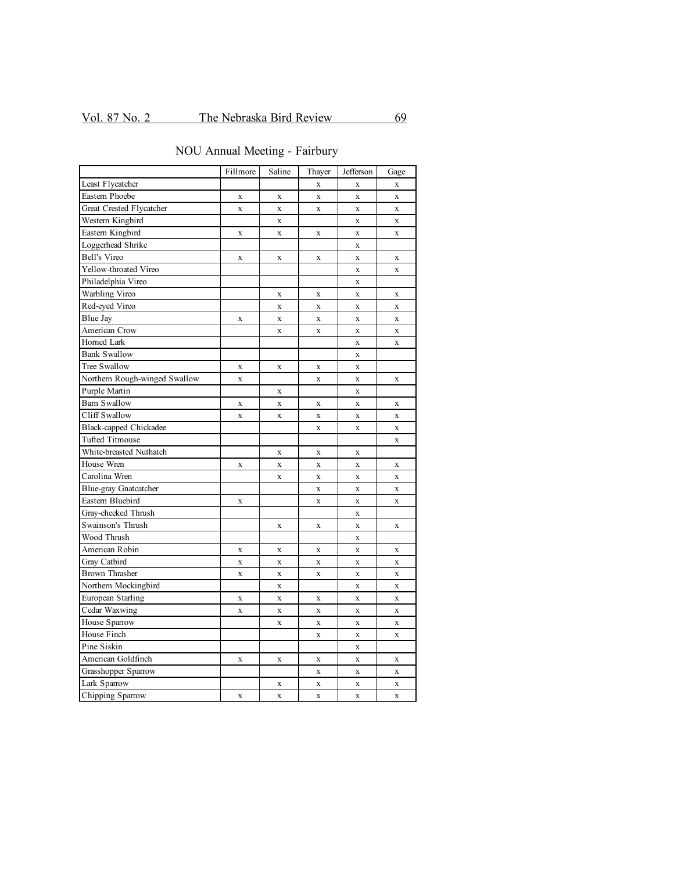|                               | Fillmore     | Saline       | Thayer       | Jefferson    | Gage        |
|-------------------------------|--------------|--------------|--------------|--------------|-------------|
| Least Flycatcher              |              |              | $\mathbf X$  | $\mathbf X$  | $\mathbf X$ |
| Eastern Phoebe                | X            | X            | $\mathbf x$  | $\mathbf x$  | $\mathbf X$ |
| Great Crested Flycatcher      | $\mathbf{x}$ | $\mathbf X$  | $\mathbf x$  | $\mathbf{x}$ | $\mathbf X$ |
| Western Kingbird              |              | $\mathbf X$  |              | $\mathbf x$  | $\mathbf X$ |
| Eastern Kingbird              | $\mathbf X$  | $\mathbf X$  | $\mathbf x$  | $\mathbf X$  | $\mathbf X$ |
| Loggerhead Shrike             |              |              |              | $\mathbf X$  |             |
| <b>Bell's Vireo</b>           | $\mathbf x$  | $\mathbf X$  | $\mathbf X$  | $\mathbf x$  | $\mathbf X$ |
| Yellow-throated Vireo         |              |              |              | $\bf{X}$     | $\mathbf x$ |
| Philadelphia Vireo            |              |              |              | $\mathbf x$  |             |
| Warbling Vireo                |              | $\mathbf X$  | $\mathbf x$  | $\mathbf X$  | $\mathbf X$ |
| Red-eyed Vireo                |              | $\mathbf X$  | $\mathbf x$  | $\mathbf X$  | $\mathbf X$ |
| Blue Jay                      | $\mathbf X$  | $\mathbf X$  | $\mathbf x$  | $\mathbf x$  | $\mathbf X$ |
| American Crow                 |              | $\mathbf X$  | $\mathbf X$  | $\mathbf x$  | $\mathbf x$ |
| Horned Lark                   |              |              |              | $\mathbf x$  | $\mathbf x$ |
| <b>Bank Swallow</b>           |              |              |              | $\mathbf X$  |             |
| Tree Swallow                  | $\mathbf X$  | $\mathbf X$  | $\mathbf X$  | $\bf{X}$     |             |
| Northern Rough-winged Swallow | $\mathbf X$  |              | $\mathbf X$  | $\mathbf X$  | $\mathbf X$ |
| Purple Martin                 |              | $\mathbf X$  |              | $\mathbf x$  |             |
| <b>Barn Swallow</b>           | X            | $\mathbf X$  | X            | X            | X           |
| Cliff Swallow                 | $\bar{X}$    | $\mathbf X$  | $\mathbf x$  | $\mathbf X$  | $\mathbf X$ |
| <b>Black-capped Chickadee</b> |              |              | $\mathbf x$  | $\mathbf x$  | $\mathbf X$ |
| <b>Tufted Titmouse</b>        |              |              |              |              | $\mathbf X$ |
| White-breasted Nuthatch       |              | $\mathbf X$  | $\mathbf x$  | X            |             |
| House Wren                    | $\mathbf X$  | $\mathbf X$  | $\mathbf x$  | $\mathbf X$  | X           |
| Carolina Wren                 |              | $\mathbf X$  | $\mathbf X$  | $\mathbf X$  | $\mathbf X$ |
| <b>Blue-gray Gnatcatcher</b>  |              |              | $\mathbf X$  | $\mathbf X$  | $\mathbf X$ |
| Eastern Bluebird              | $\mathbf X$  |              | $\mathbf{x}$ | $\mathbf{x}$ | $\mathbf X$ |
| Gray-cheeked Thrush           |              |              |              | $\mathbf{x}$ |             |
| Swainson's Thrush             |              | $\mathbf X$  | $\mathbf x$  | $\mathbf x$  | $\mathbf X$ |
| Wood Thrush                   |              |              |              | X            |             |
| American Robin                | X            | $\mathbf X$  | X            | $\mathbf X$  | X           |
| Gray Catbird                  | $\mathbf X$  | $\mathbf X$  | $\mathbf x$  | $\mathbf x$  | $\mathbf X$ |
| <b>Brown Thrasher</b>         | $\mathbf x$  | $\mathbf X$  | $\mathbf x$  | $\mathbf x$  | $\mathbf X$ |
| Northern Mockingbird          |              | $\mathbf{x}$ |              | $\mathbf{x}$ | $\mathbf X$ |
| European Starling             | $\mathbf x$  | $\mathbf x$  | $\mathbf x$  | $\mathbf{x}$ | $\mathbf x$ |
| Cedar Waxwing                 | $\mathbf X$  | $\mathbf X$  | $\mathbf X$  | $\mathbf x$  | $\mathbf X$ |
| House Sparrow                 |              | $\mathbf X$  | $\mathbf X$  | $\mathbf x$  | $\mathbf X$ |
| House Finch                   |              |              | $\mathbf X$  | $\mathbf X$  | $\mathbf X$ |
| Pine Siskin                   |              |              |              | $\mathbf x$  |             |
| American Goldfinch            | $\mathbf x$  | $\mathbf x$  | $\mathbf x$  | $\bf{X}$     | $\mathbf X$ |
| Grasshopper Sparrow           |              |              | $\mathbf X$  | $\mathbf X$  | X           |
| Lark Sparrow                  |              | $\mathbf X$  | X            | $\mathbf X$  | $\mathbf X$ |
| Chipping Sparrow              | $\mathbf X$  | $\mathbf x$  | $\mathbf x$  | $\mathbf X$  | $\mathbf x$ |